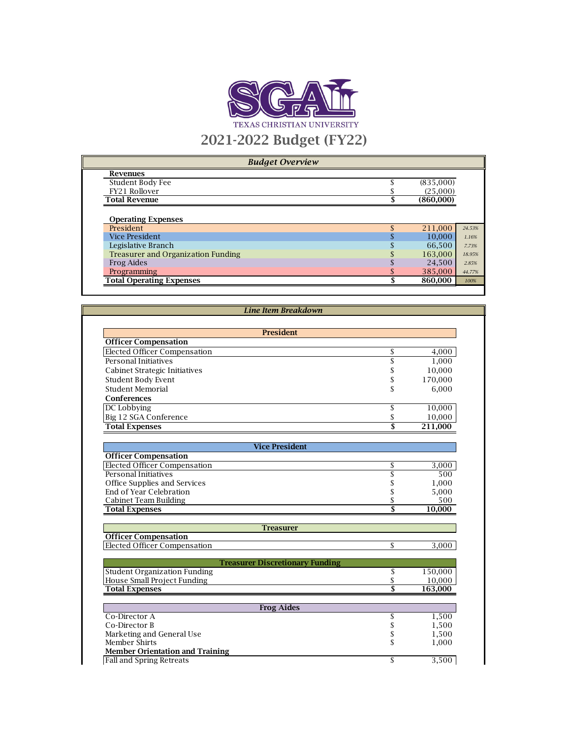

|  |  | <b>Budget Overview</b> |  |
|--|--|------------------------|--|
|  |  |                        |  |

| <b>Revenues</b>                           |           |        |
|-------------------------------------------|-----------|--------|
| Student Body Fee                          | (835,000) |        |
| FY21 Rollover                             | (25,000)  |        |
| <b>Total Revenue</b>                      | (860,000) |        |
|                                           |           |        |
| <b>Operating Expenses</b>                 |           |        |
| President                                 | 211,000   | 24.53% |
| <b>Vice President</b>                     | 10,000    | 1.16%  |
| Legislative Branch                        | 66,500    | 7.73%  |
| <b>Treasurer and Organization Funding</b> | 163,000   | 18.95% |
| Frog Aides                                | 24,500    | 2.85%  |
| Programming                               | 385,000   | 44.77% |

Total Operating Expenses \$ 860,000 *100%*

| <b>President</b>              |         |
|-------------------------------|---------|
| <b>Officer Compensation</b>   |         |
| Elected Officer Compensation  | 4,000   |
| Personal Initiatives          | 1,000   |
| Cabinet Strategic Initiatives | 10,000  |
| Student Body Event            | 170,000 |
| Student Memorial              | 6,000   |
| <b>Conferences</b>            |         |
| DC Lobbying                   | 10,000  |
| Big 12 SGA Conference         | 10,000  |
| <b>Total Expenses</b>         | 211,000 |

| <b>Vice President</b>        |        |
|------------------------------|--------|
| <b>Officer Compensation</b>  |        |
| Elected Officer Compensation | 3,000  |
| Personal Initiatives         | 500    |
| Office Supplies and Services | 1.000  |
| End of Year Celebration      | 5,000  |
| Cabinet Team Building        | 500    |
| <b>Total Expenses</b>        | 10.000 |

| <b>Treasurer</b>                       |    |         |
|----------------------------------------|----|---------|
| <b>Officer Compensation</b>            |    |         |
| Elected Officer Compensation           | S  | 3.000   |
|                                        |    |         |
| <b>Treasurer Discretionary Funding</b> |    |         |
| <b>Student Organization Funding</b>    |    | 150,000 |
| House Small Project Funding            |    | 10.000  |
| <b>Total Expenses</b>                  |    | 163,000 |
|                                        |    |         |
| <b>Frog Aides</b>                      |    |         |
| Co-Director A                          | \$ | 1,500   |
| Co-Director B                          |    | 1,500   |
| Marketing and General Use              |    | 1,500   |
| Member Shirts                          | S  | 1,000   |
| <b>Member Orientation and Training</b> |    |         |
| <b>Fall and Spring Retreats</b>        |    | 3,500   |